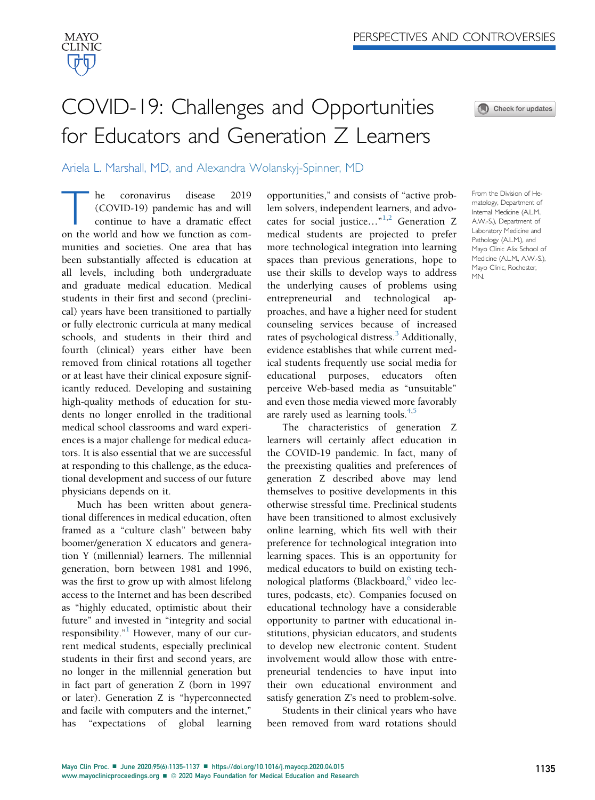

## COVID-19: Challenges and Opportunities for Educators and Generation Z Learners



Ariela L. Marshall, MD, and Alexandra Wolanskyj-Spinner, MD

he coronavirus disease 2019<br>(COVID-19) pandemic has and will<br>continue to have a dramatic effect<br>on the world and how we function as com-(COVID-19) pandemic has and will continue to have a dramatic effect on the world and how we function as communities and societies. One area that has been substantially affected is education at all levels, including both undergraduate and graduate medical education. Medical students in their first and second (preclinical) years have been transitioned to partially or fully electronic curricula at many medical schools, and students in their third and fourth (clinical) years either have been removed from clinical rotations all together or at least have their clinical exposure significantly reduced. Developing and sustaining high-quality methods of education for students no longer enrolled in the traditional medical school classrooms and ward experiences is a major challenge for medical educators. It is also essential that we are successful at responding to this challenge, as the educational development and success of our future physicians depends on it.

Much has been written about generational differences in medical education, often framed as a "culture clash" between baby boomer/generation X educators and generation Y (millennial) learners. The millennial generation, born between 1981 and 1996, was the first to grow up with almost lifelong access to the Internet and has been described as "highly educated, optimistic about their future" and invested in "integrity and social responsibility."<sup>[1](#page-1-0)</sup> However, many of our current medical students, especially preclinical students in their first and second years, are no longer in the millennial generation but in fact part of generation Z (born in 1997 or later). Generation Z is "hyperconnected and facile with computers and the internet," has "expectations of global learning opportunities," and consists of "active problem solvers, independent learners, and advo-cates for social justice..."<sup>[1](#page-1-0),[2](#page-1-1)</sup> Generation Z medical students are projected to prefer more technological integration into learning spaces than previous generations, hope to use their skills to develop ways to address the underlying causes of problems using entrepreneurial and technological approaches, and have a higher need for student counseling services because of increased rates of psychological distress.<sup>[3](#page-1-2)</sup> Additionally, evidence establishes that while current medical students frequently use social media for educational purposes, educators often perceive Web-based media as "unsuitable" and even those media viewed more favorably are rarely used as learning tools. $4,5$  $4,5$ 

The characteristics of generation Z learners will certainly affect education in the COVID-19 pandemic. In fact, many of the preexisting qualities and preferences of generation Z described above may lend themselves to positive developments in this otherwise stressful time. Preclinical students have been transitioned to almost exclusively online learning, which fits well with their preference for technological integration into learning spaces. This is an opportunity for medical educators to build on existing tech-nological platforms (Blackboard,<sup>[6](#page-2-0)</sup> video lectures, podcasts, etc). Companies focused on educational technology have a considerable opportunity to partner with educational institutions, physician educators, and students to develop new electronic content. Student involvement would allow those with entrepreneurial tendencies to have input into their own educational environment and satisfy generation Z's need to problem-solve.

Students in their clinical years who have been removed from ward rotations should From the Division of Hematology, Department of Internal Medicine (A.L.M., A.W.-S.), Department of Laboratory Medicine and Pathology (A.L.M.), and Mayo Clinic Alix School of Medicine (A.L.M., A.W.-S.), Mayo Clinic, Rochester, MN.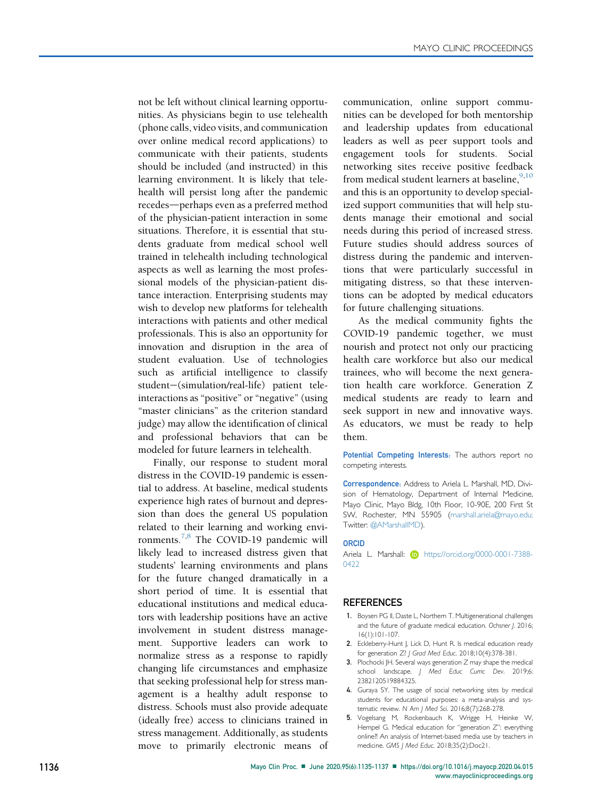not be left without clinical learning opportunities. As physicians begin to use telehealth (phone calls, video visits, and communication over online medical record applications) to communicate with their patients, students should be included (and instructed) in this learning environment. It is likely that telehealth will persist long after the pandemic recedes-perhaps even as a preferred method of the physician-patient interaction in some situations. Therefore, it is essential that students graduate from medical school well trained in telehealth including technological aspects as well as learning the most professional models of the physician-patient distance interaction. Enterprising students may wish to develop new platforms for telehealth interactions with patients and other medical professionals. This is also an opportunity for innovation and disruption in the area of student evaluation. Use of technologies such as artificial intelligence to classify student-(simulation/real-life) patient teleinteractions as "positive" or "negative" (using "master clinicians" as the criterion standard judge) may allow the identification of clinical and professional behaviors that can be modeled for future learners in telehealth.

Finally, our response to student moral distress in the COVID-19 pandemic is essential to address. At baseline, medical students experience high rates of burnout and depression than does the general US population related to their learning and working envi-ronments.<sup>[7](#page-2-1)[,8](#page-2-2)</sup> The COVID-19 pandemic will likely lead to increased distress given that students' learning environments and plans for the future changed dramatically in a short period of time. It is essential that educational institutions and medical educators with leadership positions have an active involvement in student distress management. Supportive leaders can work to normalize stress as a response to rapidly changing life circumstances and emphasize that seeking professional help for stress management is a healthy adult response to distress. Schools must also provide adequate (ideally free) access to clinicians trained in stress management. Additionally, as students move to primarily electronic means of communication, online support communities can be developed for both mentorship and leadership updates from educational leaders as well as peer support tools and engagement tools for students. Social networking sites receive positive feedback from medical student learners at baseline,  $9,10$  $9,10$ and this is an opportunity to develop specialized support communities that will help students manage their emotional and social needs during this period of increased stress. Future studies should address sources of distress during the pandemic and interventions that were particularly successful in mitigating distress, so that these interventions can be adopted by medical educators for future challenging situations.

As the medical community fights the COVID-19 pandemic together, we must nourish and protect not only our practicing health care workforce but also our medical trainees, who will become the next generation health care workforce. Generation Z medical students are ready to learn and seek support in new and innovative ways. As educators, we must be ready to help them.

Potential Competing Interests: The authors report no competing interests.

Correspondence: Address to Ariela L. Marshall, MD, Division of Hematology, Department of Internal Medicine, Mayo Clinic, Mayo Bldg, 10th Floor, 10-90E, 200 First St SW, Rochester, MN 55905 [\(marshall.ariela@mayo.edu;](mailto:marshall.ariela@mayo.edu) Twitter: @AMarshallMD).

## ORCID

Ariela L. Marshall: **i** [https://orcid.org/0000-0001-7388-](https://orcid.org/0000-0001-7388-0422) [0422](https://orcid.org/0000-0001-7388-0422)

## **REFERENCES**

- <span id="page-1-0"></span>1. Boysen PG II, Daste L, Northern T. Multigenerational challenges and the future of graduate medical education. Ochsner J. 2016; 16(1):101-107.
- <span id="page-1-1"></span>2. Eckleberry-Hunt J, Lick D, Hunt R. Is medical education ready for generation Z? J Grad Med Educ. 2018;10(4):378-381.
- <span id="page-1-2"></span>3. Plochocki JH. Several ways generation Z may shape the medical school landscape. J Med Educ Curric Dev. 2019;6: 2382120519884325.
- <span id="page-1-3"></span>4. Guraya SY. The usage of social networking sites by medical students for educational purposes: a meta-analysis and systematic review. N Am J Med Sci. 2016;8(7):268-278.
- <span id="page-1-4"></span>5. Vogelsang M, Rockenbauch K, Wrigge H, Heinke W, Hempel G. Medical education for "generation Z": everything online?! An analysis of Internet-based media use by teachers in medicine. GMS J Med Educ. 2018;35(2):Doc21.